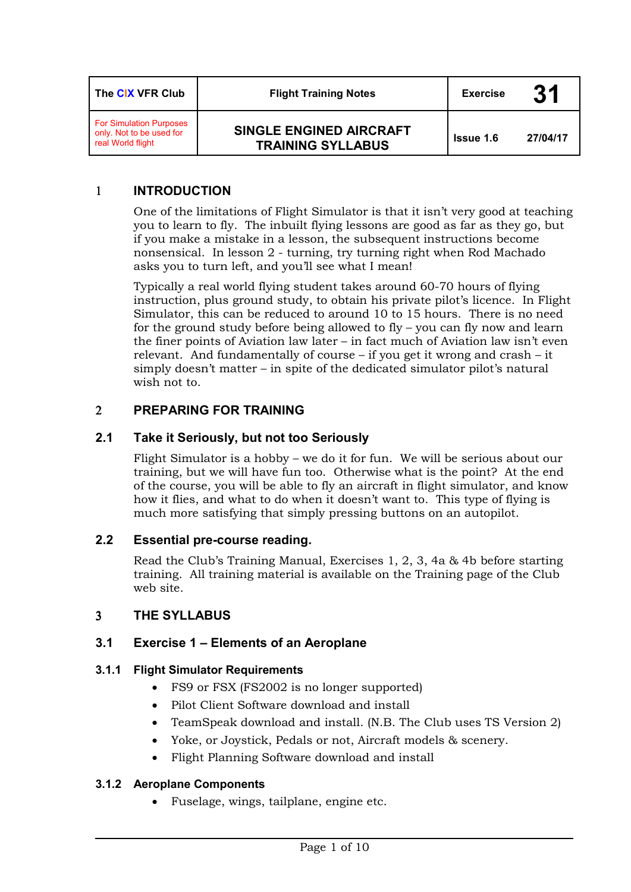| The CIX VFR Club                                                                | <b>Flight Training Notes</b>                               | <b>Exercise</b>  | 31       |
|---------------------------------------------------------------------------------|------------------------------------------------------------|------------------|----------|
| <b>For Simulation Purposes</b><br>only. Not to be used for<br>real World flight | <b>SINGLE ENGINED AIRCRAFT</b><br><b>TRAINING SYLLABUS</b> | <b>Issue 1.6</b> | 27/04/17 |

## 1 **INTRODUCTION**

One of the limitations of Flight Simulator is that it isn't very good at teaching you to learn to fly. The inbuilt flying lessons are good as far as they go, but if you make a mistake in a lesson, the subsequent instructions become nonsensical. In lesson 2 - turning, try turning right when Rod Machado asks you to turn left, and you'll see what I mean!

Typically a real world flying student takes around 60-70 hours of flying instruction, plus ground study, to obtain his private pilot's licence. In Flight Simulator, this can be reduced to around 10 to 15 hours. There is no need for the ground study before being allowed to fly – you can fly now and learn the finer points of Aviation law later – in fact much of Aviation law isn't even relevant. And fundamentally of course – if you get it wrong and crash – it simply doesn't matter – in spite of the dedicated simulator pilot's natural wish not to.

### 2 **PREPARING FOR TRAINING**

### **2.1 Take it Seriously, but not too Seriously**

Flight Simulator is a hobby – we do it for fun. We will be serious about our training, but we will have fun too. Otherwise what is the point? At the end of the course, you will be able to fly an aircraft in flight simulator, and know how it flies, and what to do when it doesn't want to. This type of flying is much more satisfying that simply pressing buttons on an autopilot.

### **2.2 Essential pre-course reading.**

Read the Club's Training Manual, Exercises 1, 2, 3, 4a & 4b before starting training. All training material is available on the Training page of the Club web site.

### 3 **THE SYLLABUS**

### **3.1 Exercise 1 – Elements of an Aeroplane**

### **3.1.1 Flight Simulator Requirements**

- FS9 or FSX (FS2002 is no longer supported)
- Pilot Client Software download and install
- TeamSpeak download and install. (N.B. The Club uses TS Version 2)
- Yoke, or Joystick, Pedals or not, Aircraft models & scenery.
- Flight Planning Software download and install

### **3.1.2 Aeroplane Components**

• Fuselage, wings, tailplane, engine etc.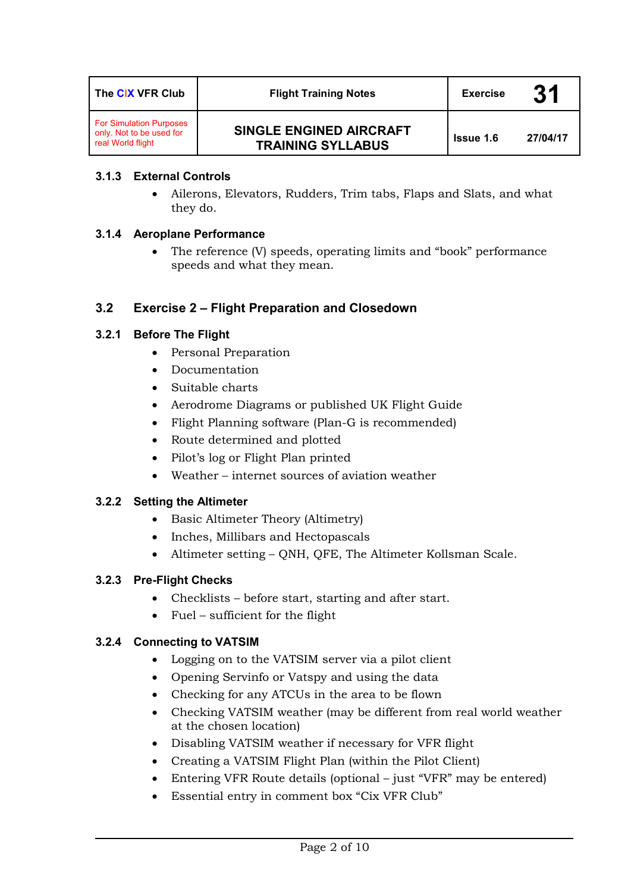| The CIX VFR Club                                                                | <b>Flight Training Notes</b>                        | <b>Exercise</b>  | 31       |
|---------------------------------------------------------------------------------|-----------------------------------------------------|------------------|----------|
| <b>For Simulation Purposes</b><br>only. Not to be used for<br>real World flight | SINGLE ENGINED AIRCRAFT<br><b>TRAINING SYLLABUS</b> | <b>Issue 1.6</b> | 27/04/17 |

### **3.1.3 External Controls**

• Ailerons, Elevators, Rudders, Trim tabs, Flaps and Slats, and what they do.

### **3.1.4 Aeroplane Performance**

• The reference (V) speeds, operating limits and "book" performance speeds and what they mean.

# **3.2 Exercise 2 – Flight Preparation and Closedown**

## **3.2.1 Before The Flight**

- Personal Preparation
- Documentation
- Suitable charts
- Aerodrome Diagrams or published UK Flight Guide
- Flight Planning software (Plan-G is recommended)
- Route determined and plotted
- Pilot's log or Flight Plan printed
- Weather internet sources of aviation weather

### **3.2.2 Setting the Altimeter**

- Basic Altimeter Theory (Altimetry)
- Inches, Millibars and Hectopascals
- Altimeter setting QNH, QFE, The Altimeter Kollsman Scale.

### **3.2.3 Pre-Flight Checks**

- Checklists before start, starting and after start.
- Fuel sufficient for the flight

### **3.2.4 Connecting to VATSIM**

- Logging on to the VATSIM server via a pilot client
- Opening Servinfo or Vatspy and using the data
- Checking for any ATCUs in the area to be flown
- Checking VATSIM weather (may be different from real world weather at the chosen location)
- Disabling VATSIM weather if necessary for VFR flight
- Creating a VATSIM Flight Plan (within the Pilot Client)
- Entering VFR Route details (optional just "VFR" may be entered)
- Essential entry in comment box "Cix VFR Club"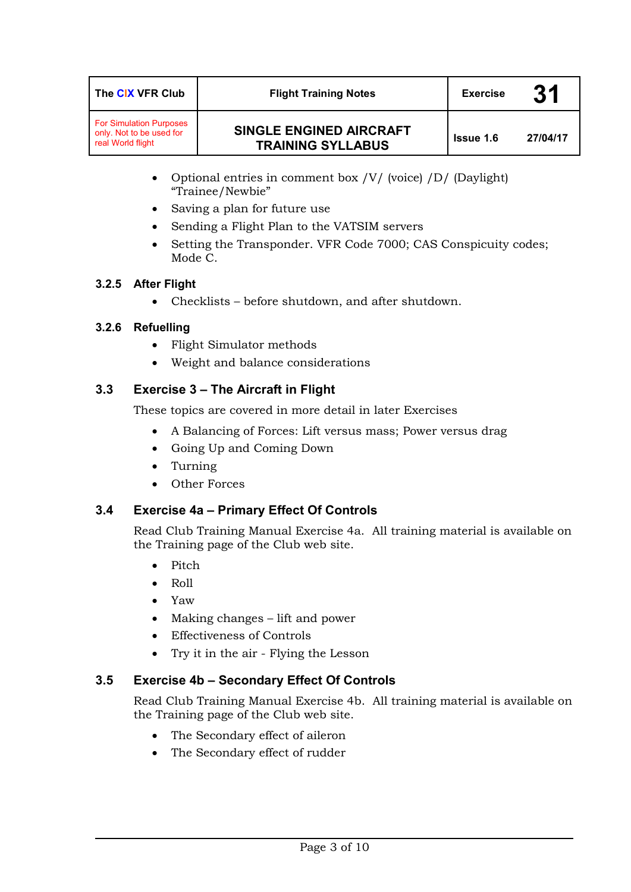| The CIX VFR Club                                                                | <b>Flight Training Notes</b>                               | <b>Exercise</b>  | 31       |
|---------------------------------------------------------------------------------|------------------------------------------------------------|------------------|----------|
| <b>For Simulation Purposes</b><br>only. Not to be used for<br>real World flight | <b>SINGLE ENGINED AIRCRAFT</b><br><b>TRAINING SYLLABUS</b> | <b>Issue 1.6</b> | 27/04/17 |

- Optional entries in comment box /V/ (voice) /D/ (Daylight) "Trainee/Newbie"
- Saving a plan for future use
- Sending a Flight Plan to the VATSIM servers
- Setting the Transponder. VFR Code 7000; CAS Conspicuity codes; Mode C.

#### **3.2.5 After Flight**

• Checklists – before shutdown, and after shutdown.

### **3.2.6 Refuelling**

- Flight Simulator methods
- Weight and balance considerations

## **3.3 Exercise 3 – The Aircraft in Flight**

These topics are covered in more detail in later Exercises

- A Balancing of Forces: Lift versus mass; Power versus drag
- Going Up and Coming Down
- Turning
- Other Forces

### **3.4 Exercise 4a – Primary Effect Of Controls**

Read Club Training Manual Exercise 4a. All training material is available on the Training page of the Club web site.

- Pitch
- Roll
- Yaw
- Making changes lift and power
- Effectiveness of Controls
- Try it in the air Flying the Lesson

### **3.5 Exercise 4b – Secondary Effect Of Controls**

Read Club Training Manual Exercise 4b. All training material is available on the Training page of the Club web site.

- The Secondary effect of aileron
- The Secondary effect of rudder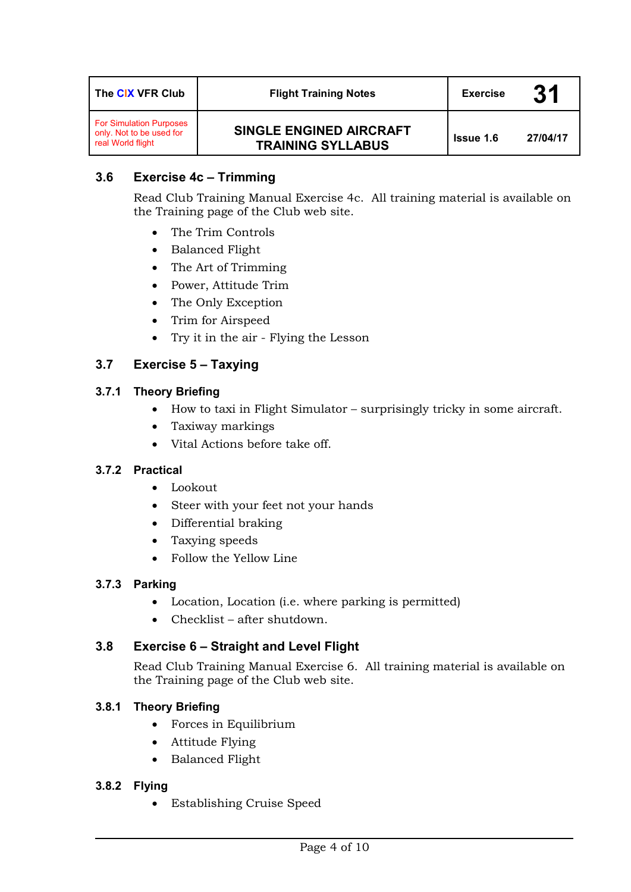| The CIX VFR Club                                                                | <b>Flight Training Notes</b>                               | <b>Exercise</b>  | 31       |
|---------------------------------------------------------------------------------|------------------------------------------------------------|------------------|----------|
| <b>For Simulation Purposes</b><br>only. Not to be used for<br>real World flight | <b>SINGLE ENGINED AIRCRAFT</b><br><b>TRAINING SYLLABUS</b> | <b>Issue 1.6</b> | 27/04/17 |

# **3.6 Exercise 4c – Trimming**

Read Club Training Manual Exercise 4c. All training material is available on the Training page of the Club web site.

- The Trim Controls
- Balanced Flight
- The Art of Trimming
- Power, Attitude Trim
- The Only Exception
- Trim for Airspeed
- Try it in the air Flying the Lesson

# **3.7 Exercise 5 – Taxying**

### **3.7.1 Theory Briefing**

- How to taxi in Flight Simulator surprisingly tricky in some aircraft.
- Taxiway markings
- Vital Actions before take off.

### **3.7.2 Practical**

- Lookout
- Steer with your feet not your hands
- Differential braking
- Taxying speeds
- Follow the Yellow Line

### **3.7.3 Parking**

- Location, Location (i.e. where parking is permitted)
- Checklist after shutdown.

### **3.8 Exercise 6 – Straight and Level Flight**

Read Club Training Manual Exercise 6. All training material is available on the Training page of the Club web site.

### **3.8.1 Theory Briefing**

- Forces in Equilibrium
- Attitude Flying
- Balanced Flight

### **3.8.2 Flying**

• Establishing Cruise Speed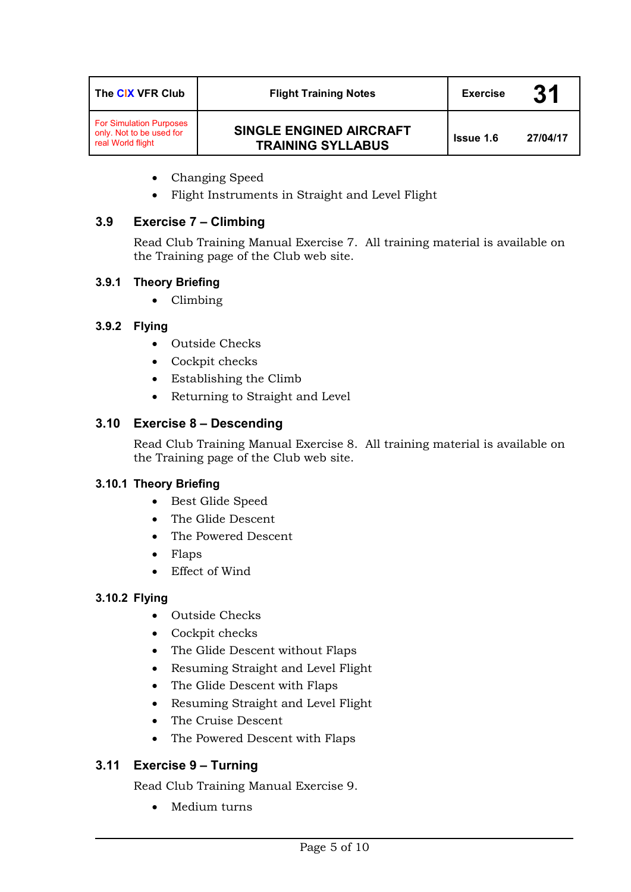| The CIX VFR Club                                                                | <b>Flight Training Notes</b>                        | <b>Exercise</b>  | 31       |
|---------------------------------------------------------------------------------|-----------------------------------------------------|------------------|----------|
| <b>For Simulation Purposes</b><br>only. Not to be used for<br>real World flight | SINGLE ENGINED AIRCRAFT<br><b>TRAINING SYLLABUS</b> | <b>Issue 1.6</b> | 27/04/17 |

- Changing Speed
- Flight Instruments in Straight and Level Flight

### **3.9 Exercise 7 – Climbing**

Read Club Training Manual Exercise 7. All training material is available on the Training page of the Club web site.

### **3.9.1 Theory Briefing**

• Climbing

## **3.9.2 Flying**

- Outside Checks
- Cockpit checks
- Establishing the Climb
- Returning to Straight and Level

## **3.10 Exercise 8 – Descending**

Read Club Training Manual Exercise 8. All training material is available on the Training page of the Club web site.

### **3.10.1 Theory Briefing**

- Best Glide Speed
- The Glide Descent
- The Powered Descent
- Flaps
- Effect of Wind

### **3.10.2 Flying**

- Outside Checks
- Cockpit checks
- The Glide Descent without Flaps
- Resuming Straight and Level Flight
- The Glide Descent with Flaps
- Resuming Straight and Level Flight
- The Cruise Descent
- The Powered Descent with Flaps

# **3.11 Exercise 9 – Turning**

Read Club Training Manual Exercise 9.

• Medium turns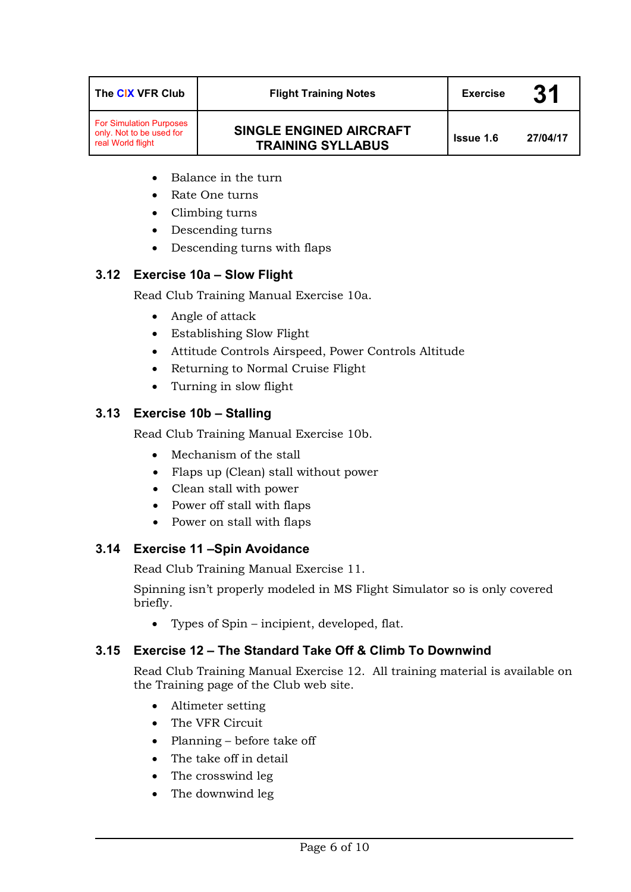| The CIX VFR Club                                                                | <b>Flight Training Notes</b>                               | <b>Exercise</b>  | 31       |
|---------------------------------------------------------------------------------|------------------------------------------------------------|------------------|----------|
| <b>For Simulation Purposes</b><br>only. Not to be used for<br>real World flight | <b>SINGLE ENGINED AIRCRAFT</b><br><b>TRAINING SYLLABUS</b> | <b>Issue 1.6</b> | 27/04/17 |

- Balance in the turn
- Rate One turns
- Climbing turns
- Descending turns
- Descending turns with flaps

#### **3.12 Exercise 10a – Slow Flight**

Read Club Training Manual Exercise 10a.

- Angle of attack
- Establishing Slow Flight
- Attitude Controls Airspeed, Power Controls Altitude
- Returning to Normal Cruise Flight
- Turning in slow flight

### **3.13 Exercise 10b – Stalling**

Read Club Training Manual Exercise 10b.

- Mechanism of the stall
- Flaps up (Clean) stall without power
- Clean stall with power
- Power off stall with flaps
- Power on stall with flaps

### **3.14 Exercise 11 –Spin Avoidance**

Read Club Training Manual Exercise 11.

Spinning isn't properly modeled in MS Flight Simulator so is only covered briefly.

• Types of Spin – incipient, developed, flat.

#### **3.15 Exercise 12 – The Standard Take Off & Climb To Downwind**

Read Club Training Manual Exercise 12. All training material is available on the Training page of the Club web site.

- Altimeter setting
- The VFR Circuit
- Planning before take off
- The take off in detail
- The crosswind leg
- The downwind leg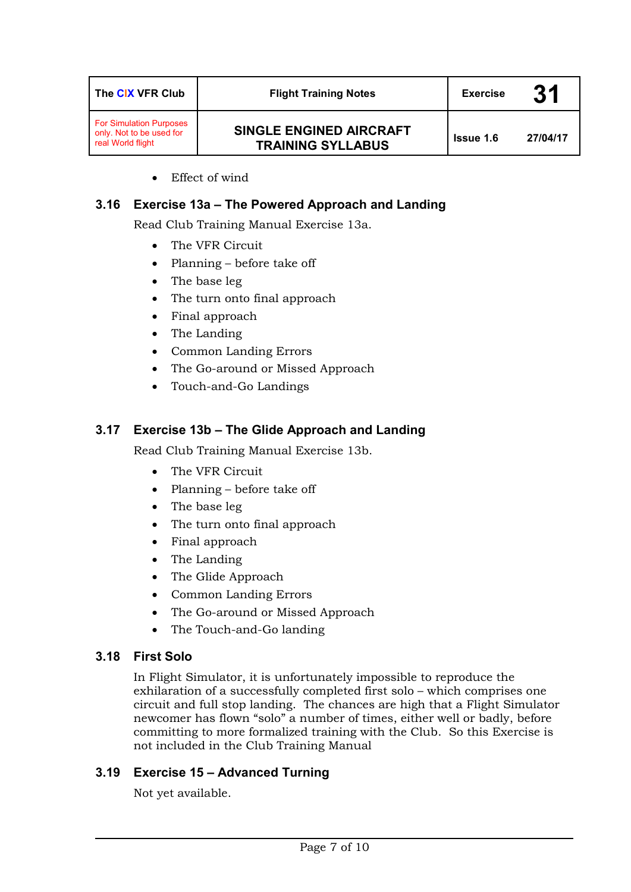| The CIX VFR Club                                                                | <b>Flight Training Notes</b>                               | <b>Exercise</b>  | 31       |
|---------------------------------------------------------------------------------|------------------------------------------------------------|------------------|----------|
| <b>For Simulation Purposes</b><br>only. Not to be used for<br>real World flight | <b>SINGLE ENGINED AIRCRAFT</b><br><b>TRAINING SYLLABUS</b> | <b>Issue 1.6</b> | 27/04/17 |

• Effect of wind

## **3.16 Exercise 13a – The Powered Approach and Landing**

Read Club Training Manual Exercise 13a.

- The VFR Circuit
- Planning before take off
- The base leg
- The turn onto final approach
- Final approach
- The Landing
- Common Landing Errors
- The Go-around or Missed Approach
- Touch-and-Go Landings

## **3.17 Exercise 13b – The Glide Approach and Landing**

Read Club Training Manual Exercise 13b.

- The VFR Circuit
- Planning before take off
- The base leg
- The turn onto final approach
- Final approach
- The Landing
- The Glide Approach
- Common Landing Errors
- The Go-around or Missed Approach
- The Touch-and-Go landing

### **3.18 First Solo**

In Flight Simulator, it is unfortunately impossible to reproduce the exhilaration of a successfully completed first solo – which comprises one circuit and full stop landing. The chances are high that a Flight Simulator newcomer has flown "solo" a number of times, either well or badly, before committing to more formalized training with the Club. So this Exercise is not included in the Club Training Manual

### **3.19 Exercise 15 – Advanced Turning**

Not yet available.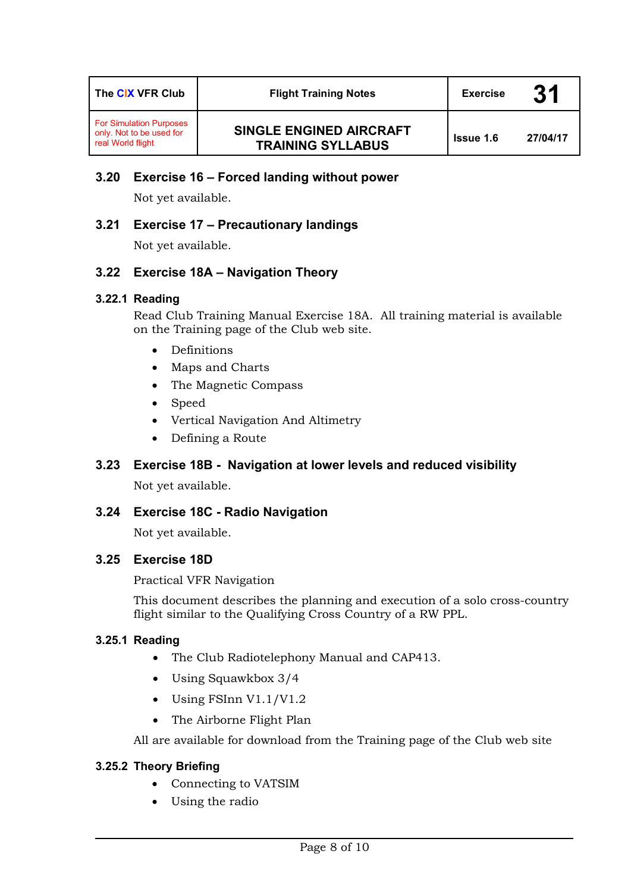| The CIX VFR Club                                                                | <b>Flight Training Notes</b>                        | <b>Exercise</b>  | 31       |
|---------------------------------------------------------------------------------|-----------------------------------------------------|------------------|----------|
| <b>For Simulation Purposes</b><br>only. Not to be used for<br>real World flight | SINGLE ENGINED AIRCRAFT<br><b>TRAINING SYLLABUS</b> | <b>Issue 1.6</b> | 27/04/17 |

# **3.20 Exercise 16 – Forced landing without power**

Not yet available.

### **3.21 Exercise 17 – Precautionary landings**

Not yet available.

### **3.22 Exercise 18A – Navigation Theory**

#### **3.22.1 Reading**

Read Club Training Manual Exercise 18A. All training material is available on the Training page of the Club web site.

- Definitions
- Maps and Charts
- The Magnetic Compass
- Speed
- Vertical Navigation And Altimetry
- Defining a Route

### **3.23 Exercise 18B - Navigation at lower levels and reduced visibility**

Not yet available.

### **3.24 Exercise 18C - Radio Navigation**

Not yet available.

### **3.25 Exercise 18D**

Practical VFR Navigation

This document describes the planning and execution of a solo cross-country flight similar to the Qualifying Cross Country of a RW PPL.

#### **3.25.1 Reading**

- The Club Radiotelephony Manual and CAP413.
- Using Squawkbox 3/4
- Using FSInn V1.1/V1.2
- The Airborne Flight Plan

All are available for download from the Training page of the Club web site

#### **3.25.2 Theory Briefing**

- Connecting to VATSIM
- Using the radio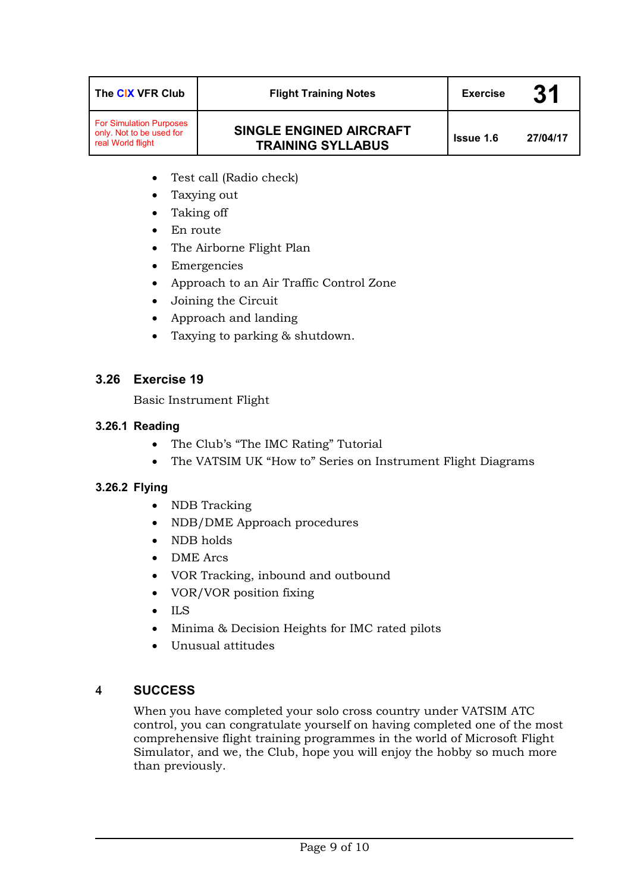| The CIX VFR Club                                                                | <b>Flight Training Notes</b>                               | <b>Exercise</b>  | 31       |
|---------------------------------------------------------------------------------|------------------------------------------------------------|------------------|----------|
| <b>For Simulation Purposes</b><br>only. Not to be used for<br>real World flight | <b>SINGLE ENGINED AIRCRAFT</b><br><b>TRAINING SYLLABUS</b> | <b>Issue 1.6</b> | 27/04/17 |

- Test call (Radio check)
- Taxying out
- Taking off
- En route
- The Airborne Flight Plan
- Emergencies
- Approach to an Air Traffic Control Zone
- Joining the Circuit
- Approach and landing
- Taxying to parking & shutdown.

## **3.26 Exercise 19**

Basic Instrument Flight

#### **3.26.1 Reading**

- The Club's "The IMC Rating" Tutorial
- The VATSIM UK "How to" Series on Instrument Flight Diagrams

### **3.26.2 Flying**

- NDB Tracking
- NDB/DME Approach procedures
- NDB holds
- DME Arcs
- VOR Tracking, inbound and outbound
- VOR/VOR position fixing
- ILS
- Minima & Decision Heights for IMC rated pilots
- Unusual attitudes

### 4 **SUCCESS**

When you have completed your solo cross country under VATSIM ATC control, you can congratulate yourself on having completed one of the most comprehensive flight training programmes in the world of Microsoft Flight Simulator, and we, the Club, hope you will enjoy the hobby so much more than previously.